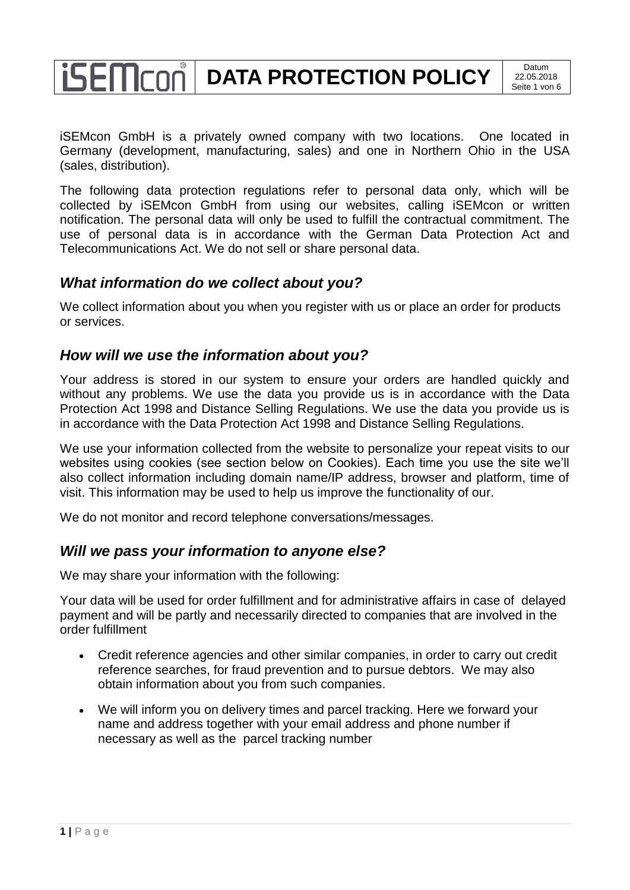# **isemcon DATA PROTECTION POLICY** 22.05.20

iSEMcon GmbH is a privately owned company with two locations. One located in Germany (development, manufacturing, sales) and one in Northern Ohio in the USA (sales, distribution).

The following data protection regulations refer to personal data only, which will be collected by iSEMcon GmbH from using our websites, calling iSEMcon or written notification. The personal data will only be used to fulfill the contractual commitment. The use of personal data is in accordance with the German Data Protection Act and Telecommunications Act. We do not sell or share personal data.

## *What information do we collect about you?*

We collect information about you when you register with us or place an order for products or services.

#### *How will we use the information about you?*

Your address is stored in our system to ensure your orders are handled quickly and without any problems. We use the data you provide us is in accordance with the Data Protection Act 1998 and Distance Selling Regulations. We use the data you provide us is in accordance with the Data Protection Act 1998 and Distance Selling Regulations.

We use your information collected from the website to personalize your repeat visits to our websites using cookies (see section below on Cookies). Each time you use the site we'll also collect information including domain name/IP address, browser and platform, time of visit. This information may be used to help us improve the functionality of our.

We do not monitor and record telephone conversations/messages.

## *Will we pass your information to anyone else?*

We may share your information with the following:

Your data will be used for order fulfillment and for administrative affairs in case of delayed payment and will be partly and necessarily directed to companies that are involved in the order fulfillment

- Credit reference agencies and other similar companies, in order to carry out credit reference searches, for fraud prevention and to pursue debtors. We may also obtain information about you from such companies.
- We will inform you on delivery times and parcel tracking. Here we forward your name and address together with your email address and phone number if necessary as well as the parcel tracking number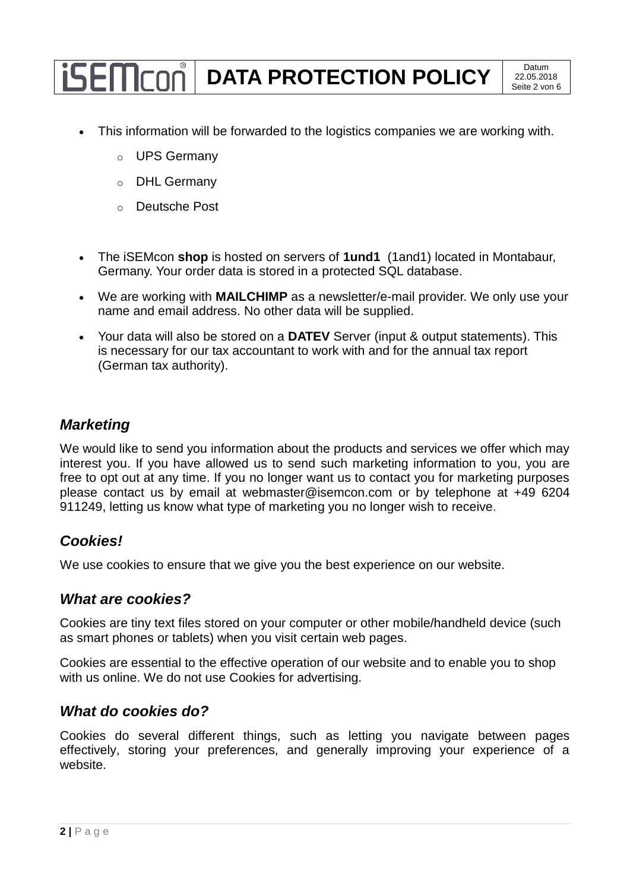- This information will be forwarded to the logistics companies we are working with.
	- o UPS Germany
	- o DHL Germany
	- o Deutsche Post
- The iSEMcon **shop** is hosted on servers of **1und1** (1and1) located in Montabaur, Germany. Your order data is stored in a protected SQL database.
- We are working with **MAILCHIMP** as a newsletter/e-mail provider. We only use your name and email address. No other data will be supplied.
- Your data will also be stored on a **DATEV** Server (input & output statements). This is necessary for our tax accountant to work with and for the annual tax report (German tax authority).

## *Marketing*

We would like to send you information about the products and services we offer which may interest you. If you have allowed us to send such marketing information to you, you are free to opt out at any time. If you no longer want us to contact you for marketing purposes please contact us by email at webmaster@isemcon.com or by telephone at +49 6204 911249, letting us know what type of marketing you no longer wish to receive.

## *Cookies!*

We use cookies to ensure that we give you the best experience on our website.

#### *What are cookies?*

Cookies are tiny text files stored on your computer or other mobile/handheld device (such as smart phones or tablets) when you visit certain web pages.

Cookies are essential to the effective operation of our website and to enable you to shop with us online. We do not use Cookies for advertising.

#### *What do cookies do?*

Cookies do several different things, such as letting you navigate between pages effectively, storing your preferences, and generally improving your experience of a website.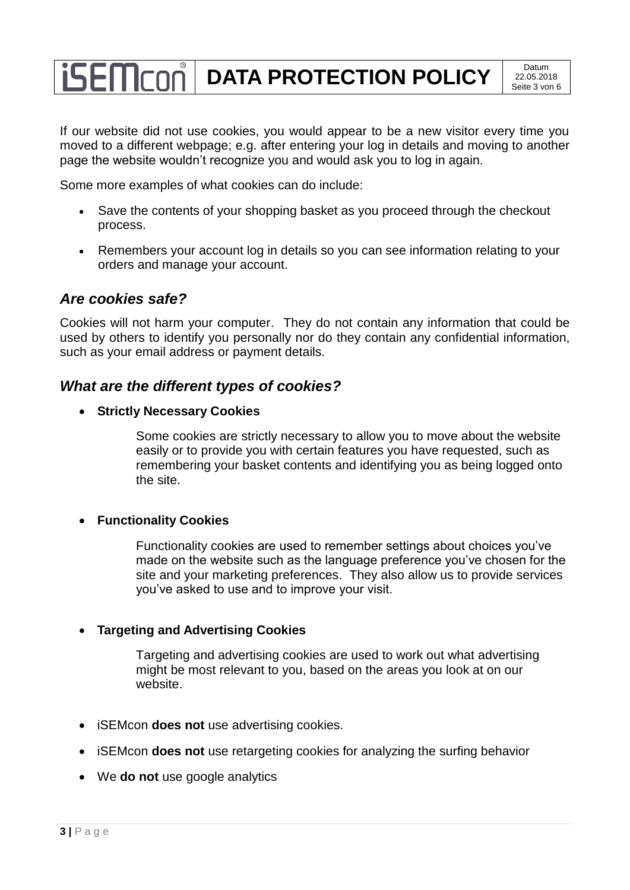If our website did not use cookies, you would appear to be a new visitor every time you moved to a different webpage; e.g. after entering your log in details and moving to another page the website wouldn't recognize you and would ask you to log in again.

Some more examples of what cookies can do include:

- Save the contents of your shopping basket as you proceed through the checkout process.
- Remembers your account log in details so you can see information relating to your orders and manage your account.

## *Are cookies safe?*

Cookies will not harm your computer. They do not contain any information that could be used by others to identify you personally nor do they contain any confidential information, such as your email address or payment details.

## *What are the different types of cookies?*

**Strictly Necessary Cookies**

Some cookies are strictly necessary to allow you to move about the website easily or to provide you with certain features you have requested, such as remembering your basket contents and identifying you as being logged onto the site.

#### **Functionality Cookies**

Functionality cookies are used to remember settings about choices you've made on the website such as the language preference you've chosen for the site and your marketing preferences. They also allow us to provide services you've asked to use and to improve your visit.

#### **Targeting and Advertising Cookies**

Targeting and advertising cookies are used to work out what advertising might be most relevant to you, based on the areas you look at on our website.

- iSEMcon **does not** use advertising cookies.
- iSEMcon **does not** use retargeting cookies for analyzing the surfing behavior
- We **do not** use google analytics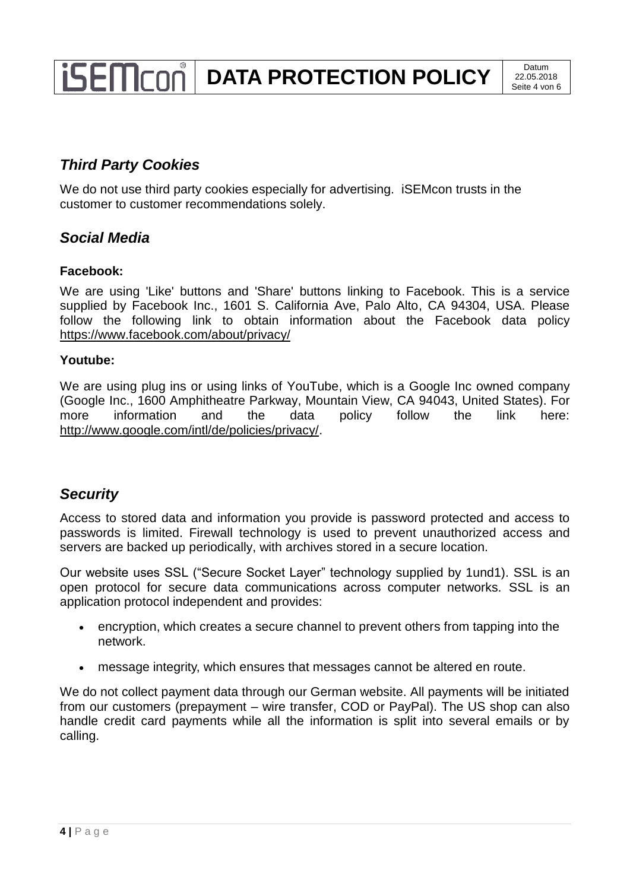# *Third Party Cookies*

We do not use third party cookies especially for advertising. **iSEM** contrusts in the customer to customer recommendations solely.

## *Social Media*

#### **Facebook:**

We are using 'Like' buttons and 'Share' buttons linking to Facebook. This is a service supplied by Facebook Inc., 1601 S. California Ave, Palo Alto, CA 94304, USA. Please follow the following link to obtain information about the Facebook data policy <https://www.facebook.com/about/privacy/>

#### **Youtube:**

We are using plug ins or using links of YouTube, which is a Google Inc owned company (Google Inc., 1600 Amphitheatre Parkway, Mountain View, CA 94043, United States). For more information and the data policy follow the link here: [http://www.google.com/intl/de/policies/privacy/.](http://www.google.com/intl/de/policies/privacy/)

## *Security*

Access to stored data and information you provide is password protected and access to passwords is limited. Firewall technology is used to prevent unauthorized access and servers are backed up periodically, with archives stored in a secure location.

Our website uses SSL ("Secure Socket Layer" technology supplied by 1und1). SSL is an open protocol for secure data communications across computer networks. SSL is an application protocol independent and provides:

- encryption, which creates a secure channel to prevent others from tapping into the network.
- message integrity, which ensures that messages cannot be altered en route.

We do not collect payment data through our German website. All payments will be initiated from our customers (prepayment – wire transfer, COD or PayPal). The US shop can also handle credit card payments while all the information is split into several emails or by calling.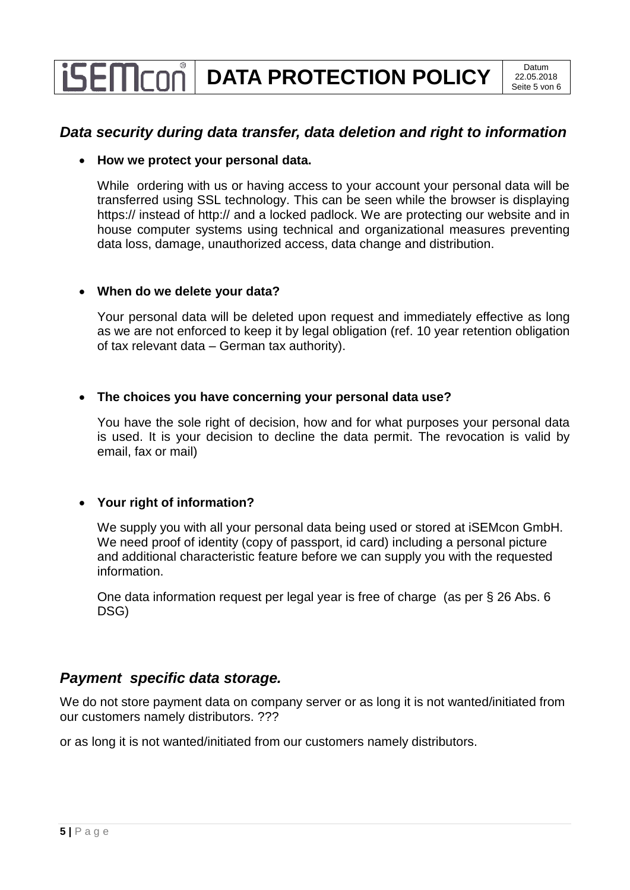## *Data security during data transfer, data deletion and right to information*

#### **How we protect your personal data.**

While ordering with us or having access to your account your personal data will be transferred using SSL technology. This can be seen while the browser is displaying https:// instead of http:// and a locked padlock. We are protecting our website and in house computer systems using technical and organizational measures preventing data loss, damage, unauthorized access, data change and distribution.

#### **When do we delete your data?**

Your personal data will be deleted upon request and immediately effective as long as we are not enforced to keep it by legal obligation (ref. 10 year retention obligation of tax relevant data – German tax authority).

#### **The choices you have concerning your personal data use?**

You have the sole right of decision, how and for what purposes your personal data is used. It is your decision to decline the data permit. The revocation is valid by email, fax or mail)

#### **Your right of information?**

We supply you with all your personal data being used or stored at iSEMcon GmbH. We need proof of identity (copy of passport, id card) including a personal picture and additional characteristic feature before we can supply you with the requested information.

One data information request per legal year is free of charge (as per § 26 Abs. 6 DSG)

## *Payment specific data storage.*

We do not store payment data on company server or as long it is not wanted/initiated from our customers namely distributors. ???

or as long it is not wanted/initiated from our customers namely distributors.